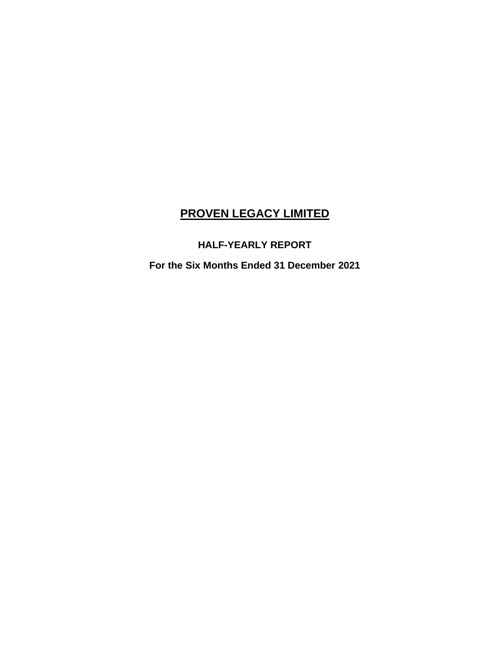## **HALF-YEARLY REPORT**

**For the Six Months Ended 31 December 2021**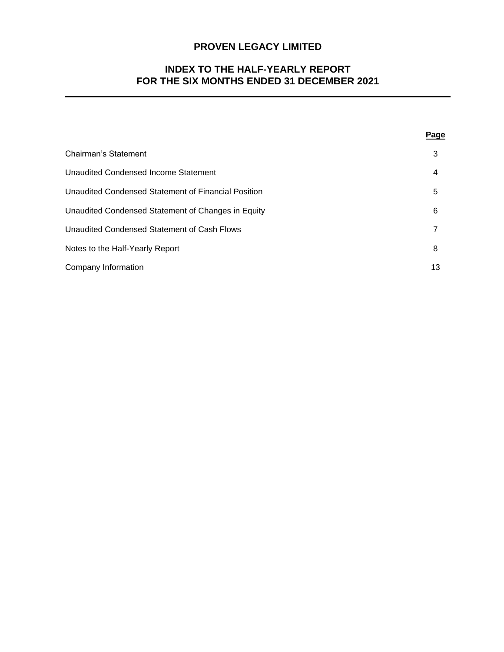## **INDEX TO THE HALF-YEARLY REPORT FOR THE SIX MONTHS ENDED 31 DECEMBER 2021**

|                                                     | <b>Page</b> |
|-----------------------------------------------------|-------------|
| <b>Chairman's Statement</b>                         | 3           |
| <b>Unaudited Condensed Income Statement</b>         | 4           |
| Unaudited Condensed Statement of Financial Position | 5           |
| Unaudited Condensed Statement of Changes in Equity  | 6           |
| Unaudited Condensed Statement of Cash Flows         |             |
| Notes to the Half-Yearly Report                     | 8           |
| Company Information                                 | 13          |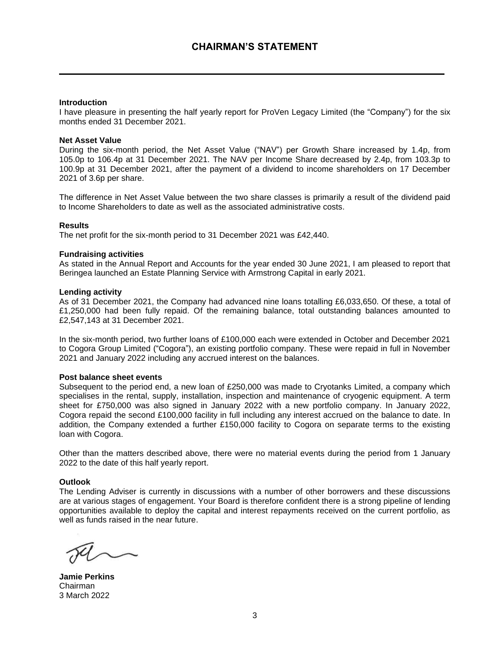#### **Introduction**

I have pleasure in presenting the half yearly report for ProVen Legacy Limited (the "Company") for the six months ended 31 December 2021.

#### **Net Asset Value**

During the six-month period, the Net Asset Value ("NAV") per Growth Share increased by 1.4p, from 105.0p to 106.4p at 31 December 2021. The NAV per Income Share decreased by 2.4p, from 103.3p to 100.9p at 31 December 2021, after the payment of a dividend to income shareholders on 17 December 2021 of 3.6p per share.

The difference in Net Asset Value between the two share classes is primarily a result of the dividend paid to Income Shareholders to date as well as the associated administrative costs.

#### **Results**

The net profit for the six-month period to 31 December 2021 was £42,440.

#### **Fundraising activities**

As stated in the Annual Report and Accounts for the year ended 30 June 2021, I am pleased to report that Beringea launched an Estate Planning Service with Armstrong Capital in early 2021.

#### **Lending activity**

As of 31 December 2021, the Company had advanced nine loans totalling £6,033,650. Of these, a total of £1,250,000 had been fully repaid. Of the remaining balance, total outstanding balances amounted to £2,547,143 at 31 December 2021.

In the six-month period, two further loans of £100,000 each were extended in October and December 2021 to Cogora Group Limited ("Cogora"), an existing portfolio company. These were repaid in full in November 2021 and January 2022 including any accrued interest on the balances.

#### **Post balance sheet events**

Subsequent to the period end, a new loan of £250,000 was made to Cryotanks Limited, a company which specialises in the rental, supply, installation, inspection and maintenance of cryogenic equipment. A term sheet for £750,000 was also signed in January 2022 with a new portfolio company. In January 2022, Cogora repaid the second £100,000 facility in full including any interest accrued on the balance to date. In addition, the Company extended a further £150,000 facility to Cogora on separate terms to the existing loan with Cogora.

Other than the matters described above, there were no material events during the period from 1 January 2022 to the date of this half yearly report.

#### **Outlook**

The Lending Adviser is currently in discussions with a number of other borrowers and these discussions are at various stages of engagement. Your Board is therefore confident there is a strong pipeline of lending opportunities available to deploy the capital and interest repayments received on the current portfolio, as well as funds raised in the near future.

**Jamie Perkins** Chairman 3 March 2022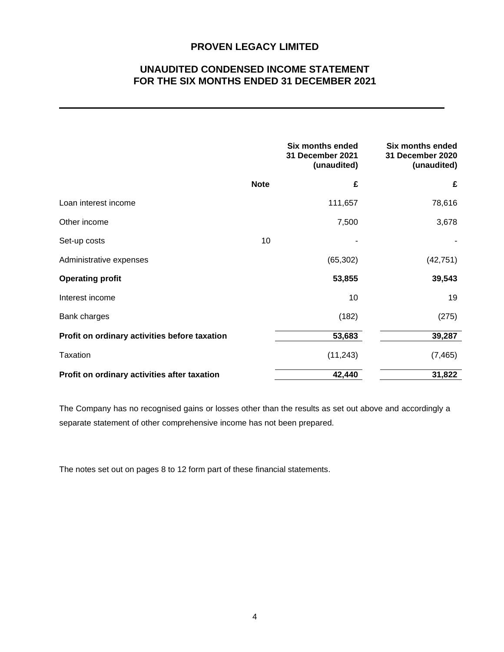## **UNAUDITED CONDENSED INCOME STATEMENT FOR THE SIX MONTHS ENDED 31 DECEMBER 2021**

|                                               |             | Six months ended<br>31 December 2021<br>(unaudited) | Six months ended<br>31 December 2020<br>(unaudited) |
|-----------------------------------------------|-------------|-----------------------------------------------------|-----------------------------------------------------|
|                                               | <b>Note</b> | £                                                   | £                                                   |
| Loan interest income                          |             | 111,657                                             | 78,616                                              |
| Other income                                  |             | 7,500                                               | 3,678                                               |
| Set-up costs                                  | 10          |                                                     |                                                     |
| Administrative expenses                       |             | (65, 302)                                           | (42, 751)                                           |
| <b>Operating profit</b>                       |             | 53,855                                              | 39,543                                              |
| Interest income                               |             | 10                                                  | 19                                                  |
| Bank charges                                  |             | (182)                                               | (275)                                               |
| Profit on ordinary activities before taxation |             | 53,683                                              | 39,287                                              |
| Taxation                                      |             | (11, 243)                                           | (7, 465)                                            |
| Profit on ordinary activities after taxation  |             | 42,440                                              | 31,822                                              |

The Company has no recognised gains or losses other than the results as set out above and accordingly a separate statement of other comprehensive income has not been prepared.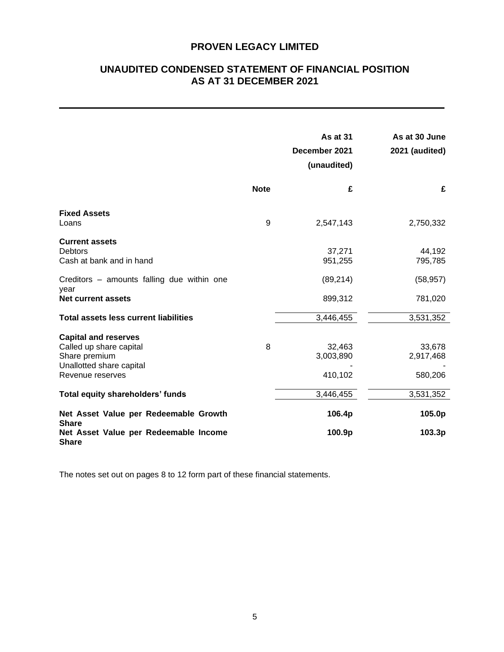## **UNAUDITED CONDENSED STATEMENT OF FINANCIAL POSITION AS AT 31 DECEMBER 2021**

|                                                                                                                         |             | <b>As at 31</b><br>December 2021<br>(unaudited) | As at 30 June<br>2021 (audited) |
|-------------------------------------------------------------------------------------------------------------------------|-------------|-------------------------------------------------|---------------------------------|
|                                                                                                                         | <b>Note</b> | £                                               | £                               |
| <b>Fixed Assets</b><br>Loans                                                                                            | 9           | 2,547,143                                       | 2,750,332                       |
| <b>Current assets</b><br>Debtors<br>Cash at bank and in hand                                                            |             | 37,271<br>951,255                               | 44,192<br>795,785               |
| Creditors – amounts falling due within one<br>year                                                                      |             | (89, 214)                                       | (58, 957)                       |
| <b>Net current assets</b>                                                                                               |             | 899,312                                         | 781,020                         |
| <b>Total assets less current liabilities</b>                                                                            |             | 3,446,455                                       | 3,531,352                       |
| <b>Capital and reserves</b><br>Called up share capital<br>Share premium<br>Unallotted share capital<br>Revenue reserves | 8           | 32,463<br>3,003,890<br>410,102                  | 33,678<br>2,917,468<br>580,206  |
| <b>Total equity shareholders' funds</b>                                                                                 |             | 3,446,455                                       | 3,531,352                       |
| Net Asset Value per Redeemable Growth<br><b>Share</b>                                                                   |             | 106.4p                                          | 105.0p                          |
| Net Asset Value per Redeemable Income<br><b>Share</b>                                                                   |             | 100.9p                                          | 103.3p                          |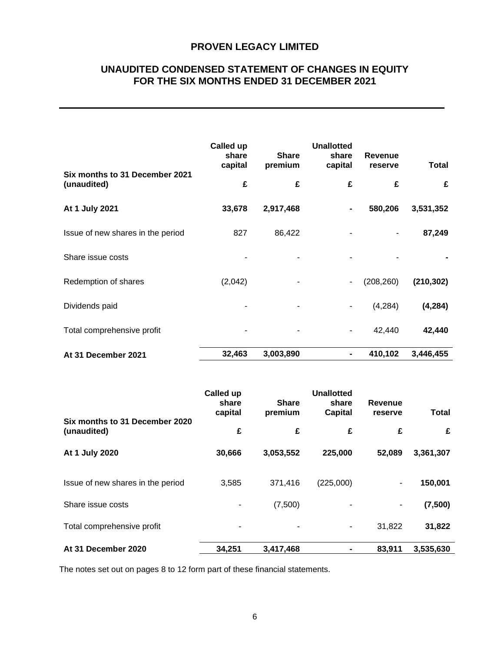## **UNAUDITED CONDENSED STATEMENT OF CHANGES IN EQUITY FOR THE SIX MONTHS ENDED 31 DECEMBER 2021**

|                                               | Called up<br>share<br>capital | <b>Share</b><br>premium | <b>Unallotted</b><br>share<br>capital | <b>Revenue</b><br>reserve | Total      |
|-----------------------------------------------|-------------------------------|-------------------------|---------------------------------------|---------------------------|------------|
| Six months to 31 December 2021<br>(unaudited) | £                             | £                       | £                                     | £                         | £          |
| At 1 July 2021                                | 33,678                        | 2,917,468               | ۰                                     | 580,206                   | 3,531,352  |
| Issue of new shares in the period             | 827                           | 86,422                  |                                       | $\overline{\phantom{0}}$  | 87,249     |
| Share issue costs                             |                               |                         |                                       |                           |            |
| Redemption of shares                          | (2,042)                       |                         | $\blacksquare$                        | (208, 260)                | (210, 302) |
| Dividends paid                                |                               |                         | $\overline{\phantom{0}}$              | (4,284)                   | (4, 284)   |
| Total comprehensive profit                    |                               |                         | $\overline{\phantom{0}}$              | 42,440                    | 42,440     |
| At 31 December 2021                           | 32,463                        | 3,003,890               | ۰                                     | 410,102                   | 3,446,455  |

|                                               | Called up<br>share<br>capital | <b>Share</b><br>premium | <b>Unallotted</b><br>share<br>Capital | Revenue<br>reserve | <b>Total</b> |
|-----------------------------------------------|-------------------------------|-------------------------|---------------------------------------|--------------------|--------------|
| Six months to 31 December 2020<br>(unaudited) | £                             | £                       | £                                     | £                  | £            |
| At 1 July 2020                                | 30,666                        | 3,053,552               | 225,000                               | 52,089             | 3,361,307    |
| Issue of new shares in the period             | 3,585                         | 371,416                 | (225,000)                             | $\blacksquare$     | 150,001      |
| Share issue costs                             |                               | (7,500)                 |                                       | ٠                  | (7,500)      |
| Total comprehensive profit                    |                               |                         |                                       | 31,822             | 31,822       |
| At 31 December 2020                           | 34,251                        | 3,417,468               |                                       | 83,911             | 3,535,630    |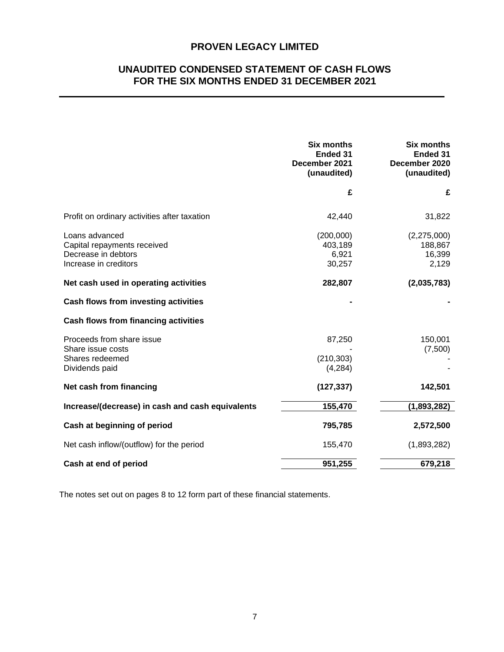## **UNAUDITED CONDENSED STATEMENT OF CASH FLOWS FOR THE SIX MONTHS ENDED 31 DECEMBER 2021**

|                                                                                               | <b>Six months</b><br>Ended 31<br>December 2021<br>(unaudited) | <b>Six months</b><br>Ended 31<br>December 2020<br>(unaudited) |
|-----------------------------------------------------------------------------------------------|---------------------------------------------------------------|---------------------------------------------------------------|
|                                                                                               | £                                                             | £                                                             |
| Profit on ordinary activities after taxation                                                  | 42,440                                                        | 31,822                                                        |
| Loans advanced<br>Capital repayments received<br>Decrease in debtors<br>Increase in creditors | (200,000)<br>403,189<br>6,921<br>30,257                       | (2,275,000)<br>188,867<br>16,399<br>2,129                     |
| Net cash used in operating activities                                                         | 282,807                                                       | (2,035,783)                                                   |
| Cash flows from investing activities                                                          |                                                               |                                                               |
| Cash flows from financing activities                                                          |                                                               |                                                               |
| Proceeds from share issue<br>Share issue costs<br>Shares redeemed<br>Dividends paid           | 87,250<br>(210, 303)<br>(4,284)                               | 150,001<br>(7,500)                                            |
| Net cash from financing                                                                       | (127, 337)                                                    | 142,501                                                       |
| Increase/(decrease) in cash and cash equivalents                                              | 155,470                                                       | (1,893,282)                                                   |
| Cash at beginning of period                                                                   | 795,785                                                       | 2,572,500                                                     |
| Net cash inflow/(outflow) for the period                                                      | 155,470                                                       | (1,893,282)                                                   |
| Cash at end of period                                                                         | 951,255                                                       | 679,218                                                       |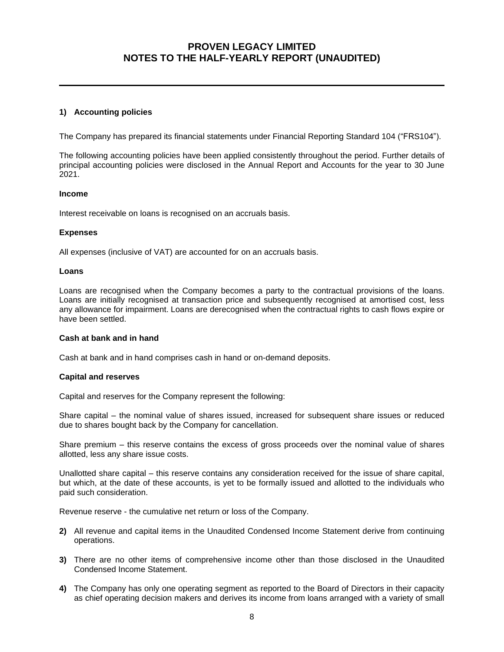#### **1) Accounting policies**

The Company has prepared its financial statements under Financial Reporting Standard 104 ("FRS104").

The following accounting policies have been applied consistently throughout the period. Further details of principal accounting policies were disclosed in the Annual Report and Accounts for the year to 30 June 2021.

#### **Income**

Interest receivable on loans is recognised on an accruals basis.

#### **Expenses**

All expenses (inclusive of VAT) are accounted for on an accruals basis.

#### **Loans**

Loans are recognised when the Company becomes a party to the contractual provisions of the loans. Loans are initially recognised at transaction price and subsequently recognised at amortised cost, less any allowance for impairment. Loans are derecognised when the contractual rights to cash flows expire or have been settled.

#### **Cash at bank and in hand**

Cash at bank and in hand comprises cash in hand or on-demand deposits.

#### **Capital and reserves**

Capital and reserves for the Company represent the following:

Share capital – the nominal value of shares issued, increased for subsequent share issues or reduced due to shares bought back by the Company for cancellation.

Share premium – this reserve contains the excess of gross proceeds over the nominal value of shares allotted, less any share issue costs.

Unallotted share capital – this reserve contains any consideration received for the issue of share capital, but which, at the date of these accounts, is yet to be formally issued and allotted to the individuals who paid such consideration.

Revenue reserve - the cumulative net return or loss of the Company.

- **2)** All revenue and capital items in the Unaudited Condensed Income Statement derive from continuing operations.
- **3)** There are no other items of comprehensive income other than those disclosed in the Unaudited Condensed Income Statement.
- **4)** The Company has only one operating segment as reported to the Board of Directors in their capacity as chief operating decision makers and derives its income from loans arranged with a variety of small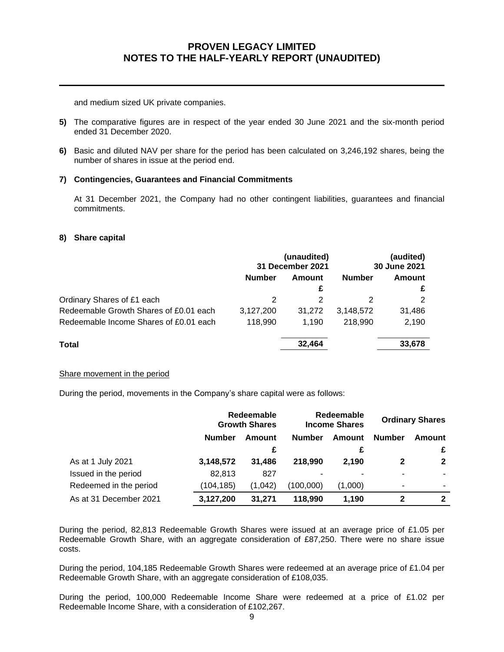and medium sized UK private companies.

- **5)** The comparative figures are in respect of the year ended 30 June 2021 and the six-month period ended 31 December 2020.
- **6)** Basic and diluted NAV per share for the period has been calculated on 3,246,192 shares, being the number of shares in issue at the period end.

#### **7) Contingencies, Guarantees and Financial Commitments**

At 31 December 2021, the Company had no other contingent liabilities, guarantees and financial commitments.

#### **8) Share capital**

|                                        | (unaudited)<br>31 December 2021 |        | (audited)<br>30 June 2021 |        |
|----------------------------------------|---------------------------------|--------|---------------------------|--------|
|                                        | <b>Number</b>                   | Amount | <b>Number</b>             | Amount |
|                                        |                                 | £      |                           |        |
| Ordinary Shares of £1 each             |                                 |        |                           | 2      |
| Redeemable Growth Shares of £0.01 each | 3,127,200                       | 31,272 | 3,148,572                 | 31,486 |
| Redeemable Income Shares of £0.01 each | 118.990                         | 1.190  | 218,990                   | 2,190  |
| Total                                  |                                 | 32,464 |                           | 33,678 |

#### Share movement in the period

During the period, movements in the Company's share capital were as follows:

|                        | Redeemable<br><b>Growth Shares</b> |         | Redeemable<br><b>Income Shares</b> |         | <b>Ordinary Shares</b> |              |
|------------------------|------------------------------------|---------|------------------------------------|---------|------------------------|--------------|
|                        | Number                             | Amount  | <b>Number</b>                      | Amount  | <b>Number</b>          | Amount       |
|                        |                                    | £       |                                    | £       |                        | £            |
| As at 1 July 2021      | 3,148,572                          | 31.486  | 218,990                            | 2.190   | 2                      | $\mathbf{2}$ |
| Issued in the period   | 82,813                             | 827     |                                    |         |                        |              |
| Redeemed in the period | (104, 185)                         | (1,042) | (100,000)                          | (1,000) |                        |              |
| As at 31 December 2021 | 3,127,200                          | 31.271  | 118.990                            | 1,190   | 2                      | $\mathbf{2}$ |

During the period, 82,813 Redeemable Growth Shares were issued at an average price of £1.05 per Redeemable Growth Share, with an aggregate consideration of £87,250. There were no share issue costs.

During the period, 104,185 Redeemable Growth Shares were redeemed at an average price of £1.04 per Redeemable Growth Share, with an aggregate consideration of £108,035.

During the period, 100,000 Redeemable Income Share were redeemed at a price of £1.02 per Redeemable Income Share, with a consideration of £102,267.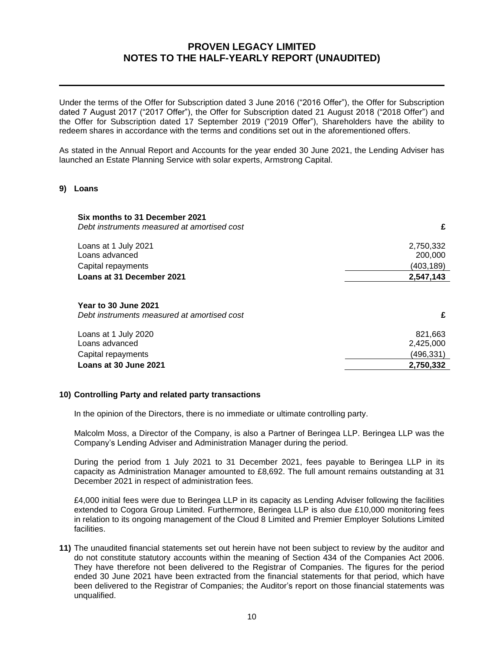Under the terms of the Offer for Subscription dated 3 June 2016 ("2016 Offer"), the Offer for Subscription dated 7 August 2017 ("2017 Offer"), the Offer for Subscription dated 21 August 2018 ("2018 Offer") and the Offer for Subscription dated 17 September 2019 ("2019 Offer"), Shareholders have the ability to redeem shares in accordance with the terms and conditions set out in the aforementioned offers.

As stated in the Annual Report and Accounts for the year ended 30 June 2021, the Lending Adviser has launched an Estate Planning Service with solar experts, Armstrong Capital.

#### **9) Loans**

| Six months to 31 December 2021<br>Debt instruments measured at amortised cost | £                    |
|-------------------------------------------------------------------------------|----------------------|
| Loans at 1 July 2021<br>Loans advanced                                        | 2,750,332<br>200,000 |
| Capital repayments                                                            | (403,189)            |
| Loans at 31 December 2021                                                     | 2,547,143            |
| Year to 30 June 2021<br>Debt instruments measured at amortised cost           | £                    |
| Loans at 1 July 2020<br>Loans advanced                                        | 821,663<br>2,425,000 |
| Capital repayments                                                            | (496,331)            |
| Loans at 30 June 2021                                                         | 2,750,332            |

#### **10) Controlling Party and related party transactions**

In the opinion of the Directors, there is no immediate or ultimate controlling party.

Malcolm Moss, a Director of the Company, is also a Partner of Beringea LLP. Beringea LLP was the Company's Lending Adviser and Administration Manager during the period.

During the period from 1 July 2021 to 31 December 2021, fees payable to Beringea LLP in its capacity as Administration Manager amounted to £8,692. The full amount remains outstanding at 31 December 2021 in respect of administration fees.

£4,000 initial fees were due to Beringea LLP in its capacity as Lending Adviser following the facilities extended to Cogora Group Limited. Furthermore, Beringea LLP is also due £10,000 monitoring fees in relation to its ongoing management of the Cloud 8 Limited and Premier Employer Solutions Limited facilities.

**11)** The unaudited financial statements set out herein have not been subject to review by the auditor and do not constitute statutory accounts within the meaning of Section 434 of the Companies Act 2006. They have therefore not been delivered to the Registrar of Companies. The figures for the period ended 30 June 2021 have been extracted from the financial statements for that period, which have been delivered to the Registrar of Companies; the Auditor's report on those financial statements was unqualified.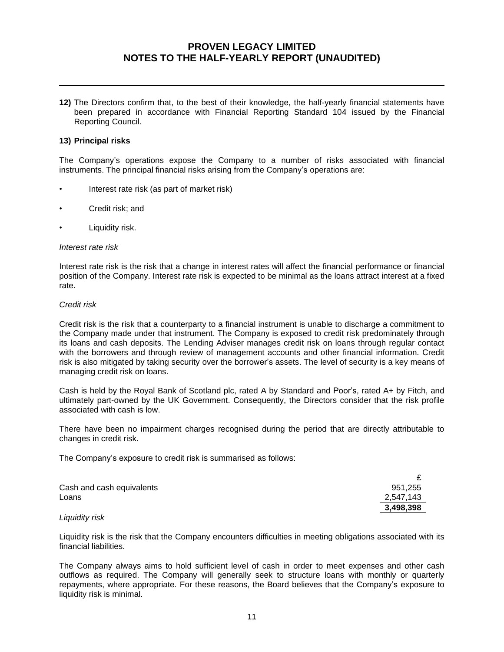**12)** The Directors confirm that, to the best of their knowledge, the half-yearly financial statements have been prepared in accordance with Financial Reporting Standard 104 issued by the Financial Reporting Council.

#### **13) Principal risks**

The Company's operations expose the Company to a number of risks associated with financial instruments. The principal financial risks arising from the Company's operations are:

- Interest rate risk (as part of market risk)
- Credit risk; and
- Liquidity risk.

#### *Interest rate risk*

Interest rate risk is the risk that a change in interest rates will affect the financial performance or financial position of the Company. Interest rate risk is expected to be minimal as the loans attract interest at a fixed rate.

#### *Credit risk*

Credit risk is the risk that a counterparty to a financial instrument is unable to discharge a commitment to the Company made under that instrument. The Company is exposed to credit risk predominately through its loans and cash deposits. The Lending Adviser manages credit risk on loans through regular contact with the borrowers and through review of management accounts and other financial information. Credit risk is also mitigated by taking security over the borrower's assets. The level of security is a key means of managing credit risk on loans.

Cash is held by the Royal Bank of Scotland plc, rated A by Standard and Poor's, rated A+ by Fitch, and ultimately part-owned by the UK Government. Consequently, the Directors consider that the risk profile associated with cash is low.

There have been no impairment charges recognised during the period that are directly attributable to changes in credit risk.

The Company's exposure to credit risk is summarised as follows:

| Cash and cash equivalents | 951,255   |
|---------------------------|-----------|
| Loans                     | 2,547,143 |
|                           | 3,498,398 |

#### *Liquidity risk*

Liquidity risk is the risk that the Company encounters difficulties in meeting obligations associated with its financial liabilities.

The Company always aims to hold sufficient level of cash in order to meet expenses and other cash outflows as required. The Company will generally seek to structure loans with monthly or quarterly repayments, where appropriate. For these reasons, the Board believes that the Company's exposure to liquidity risk is minimal.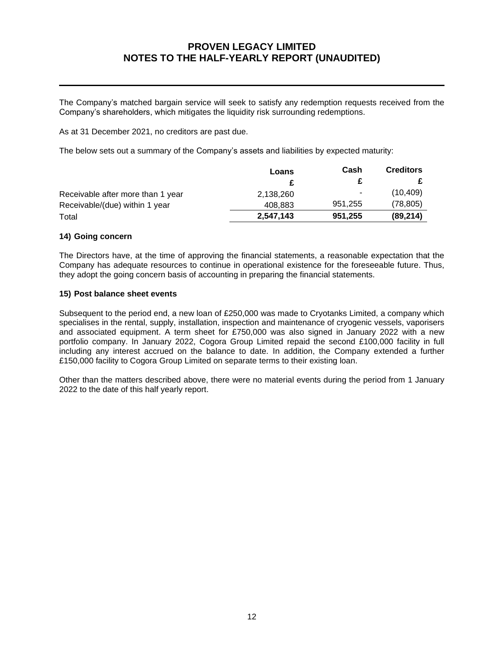The Company's matched bargain service will seek to satisfy any redemption requests received from the Company's shareholders, which mitigates the liquidity risk surrounding redemptions.

As at 31 December 2021, no creditors are past due.

The below sets out a summary of the Company's assets and liabilities by expected maturity:

|                                   | Loans     | Cash    | <b>Creditors</b> |
|-----------------------------------|-----------|---------|------------------|
|                                   |           |         |                  |
| Receivable after more than 1 year | 2,138,260 | ٠.      | (10, 409)        |
| Receivable/(due) within 1 year    | 408.883   | 951.255 | (78, 805)        |
| Total                             | 2.547.143 | 951,255 | (89, 214)        |

#### **14) Going concern**

The Directors have, at the time of approving the financial statements, a reasonable expectation that the Company has adequate resources to continue in operational existence for the foreseeable future. Thus, they adopt the going concern basis of accounting in preparing the financial statements.

#### **15) Post balance sheet events**

Subsequent to the period end, a new loan of £250,000 was made to Cryotanks Limited, a company which specialises in the rental, supply, installation, inspection and maintenance of cryogenic vessels, vaporisers and associated equipment. A term sheet for £750,000 was also signed in January 2022 with a new portfolio company. In January 2022, Cogora Group Limited repaid the second £100,000 facility in full including any interest accrued on the balance to date. In addition, the Company extended a further £150,000 facility to Cogora Group Limited on separate terms to their existing loan.

Other than the matters described above, there were no material events during the period from 1 January 2022 to the date of this half yearly report.